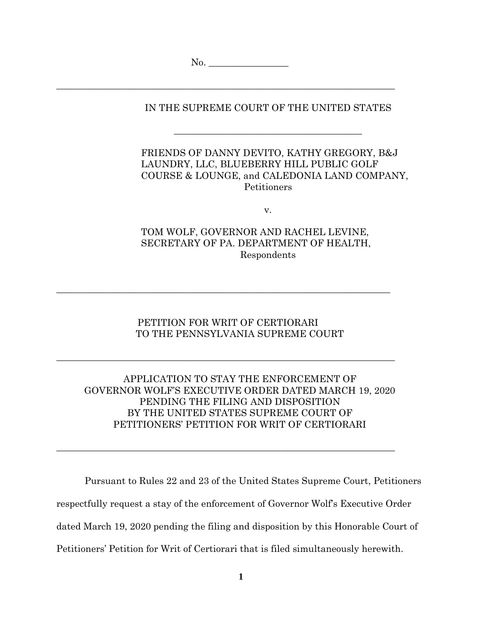No.

\_\_\_\_\_\_\_\_\_\_\_\_\_\_\_\_\_\_\_\_\_\_\_\_\_\_\_\_\_\_\_\_\_\_\_\_\_\_\_\_\_\_\_\_\_\_\_\_\_\_\_\_\_\_\_\_\_\_\_\_\_\_\_\_\_\_\_\_\_\_\_\_

IN THE SUPREME COURT OF THE UNITED STATES

 $\frac{1}{2}$  , and the set of the set of the set of the set of the set of the set of the set of the set of the set of the set of the set of the set of the set of the set of the set of the set of the set of the set of the set

## FRIENDS OF DANNY DEVITO, KATHY GREGORY, B&J LAUNDRY, LLC, BLUEBERRY HILL PUBLIC GOLF COURSE & LOUNGE, and CALEDONIA LAND COMPANY, **Petitioners**

v.

## TOM WOLF, GOVERNOR AND RACHEL LEVINE, SECRETARY OF PA. DEPARTMENT OF HEALTH, Respondents

# PETITION FOR WRIT OF CERTIORARI TO THE PENNSYLVANIA SUPREME COURT

 $\_$  , and the set of the set of the set of the set of the set of the set of the set of the set of the set of the set of the set of the set of the set of the set of the set of the set of the set of the set of the set of th

 $\_$  , and the set of the set of the set of the set of the set of the set of the set of the set of the set of the set of the set of the set of the set of the set of the set of the set of the set of the set of the set of th

 $\_$  , and the set of the set of the set of the set of the set of the set of the set of the set of the set of the set of the set of the set of the set of the set of the set of the set of the set of the set of the set of th

## APPLICATION TO STAY THE ENFORCEMENT OF GOVERNOR WOLF'S EXECUTIVE ORDER DATED MARCH 19, 2020 PENDING THE FILING AND DISPOSITION BY THE UNITED STATES SUPREME COURT OF PETITIONERS' PETITION FOR WRIT OF CERTIORARI

Pursuant to Rules 22 and 23 of the United States Supreme Court, Petitioners respectfully request a stay of the enforcement of Governor Wolf's Executive Order dated March 19, 2020 pending the filing and disposition by this Honorable Court of Petitioners' Petition for Writ of Certiorari that is filed simultaneously herewith.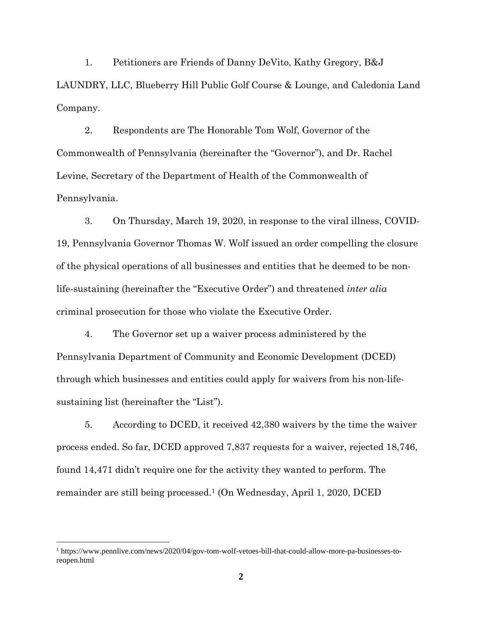1. Petitioners are Friends of Danny DeVito, Kathy Gregory, B&J LAUNDRY, LLC, Blueberry Hill Public Golf Course & Lounge, and Caledonia Land Company.

2. Respondents are The Honorable Tom Wolf, Governor of the Commonwealth of Pennsylvania (hereinafter the "Governor"), and Dr. Rachel Levine, Secretary of the Department of Health of the Commonwealth of Pennsylvania.

3. On Thursday, March 19, 2020, in response to the viral illness, COVID-19, Pennsylvania Governor Thomas W. Wolf issued an order compelling the closure of the physical operations of all businesses and entities that he deemed to be nonlife-sustaining (hereinafter the "Executive Order") and threatened *inter alia* criminal prosecution for those who violate the Executive Order.

4. The Governor set up a waiver process administered by the Pennsylvania Department of Community and Economic Development (DCED) through which businesses and entities could apply for waivers from his non-lifesustaining list (hereinafter the "List").

5. According to DCED, it received 42,380 waivers by the time the waiver process ended. So far, DCED approved 7,837 requests for a waiver, rejected 18,746, found 14,471 didn't require one for the activity they wanted to perform. The remainder are still being processed.1 (On Wednesday, April 1, 2020, DCED

<sup>&</sup>lt;sup>1</sup> https://www.pennlive.com/news/2020/04/gov-tom-wolf-vetoes-bill-that-could-allow-more-pa-businesses-toreopen.html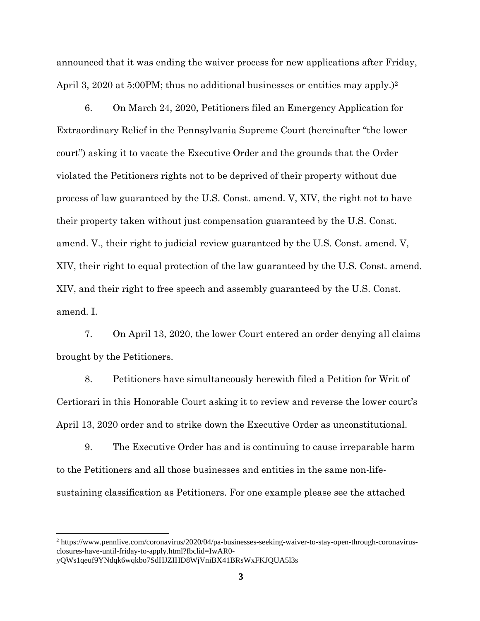announced that it was ending the waiver process for new applications after Friday, April 3, 2020 at 5:00PM; thus no additional businesses or entities may apply.)<sup>2</sup>

6. On March 24, 2020, Petitioners filed an Emergency Application for Extraordinary Relief in the Pennsylvania Supreme Court (hereinafter "the lower court") asking it to vacate the Executive Order and the grounds that the Order violated the Petitioners rights not to be deprived of their property without due process of law guaranteed by the U.S. Const. amend. V, XIV, the right not to have their property taken without just compensation guaranteed by the U.S. Const. amend. V., their right to judicial review guaranteed by the U.S. Const. amend. V, XIV, their right to equal protection of the law guaranteed by the U.S. Const. amend. XIV, and their right to free speech and assembly guaranteed by the U.S. Const. amend. I.

7. On April 13, 2020, the lower Court entered an order denying all claims brought by the Petitioners.

8. Petitioners have simultaneously herewith filed a Petition for Writ of Certiorari in this Honorable Court asking it to review and reverse the lower court's April 13, 2020 order and to strike down the Executive Order as unconstitutional.

9. The Executive Order has and is continuing to cause irreparable harm to the Petitioners and all those businesses and entities in the same non-lifesustaining classification as Petitioners. For one example please see the attached

<sup>&</sup>lt;sup>2</sup> https://www.pennlive.com/coronavirus/2020/04/pa-businesses-seeking-waiver-to-stay-open-through-coronavirusclosures-have-until-friday-to-apply.html?fbclid=IwAR0-

yQWs1qeuf9YNdqk6wqkbo7SdHJZIHD8WjVniBX41BRsWxFKJQUA5l3s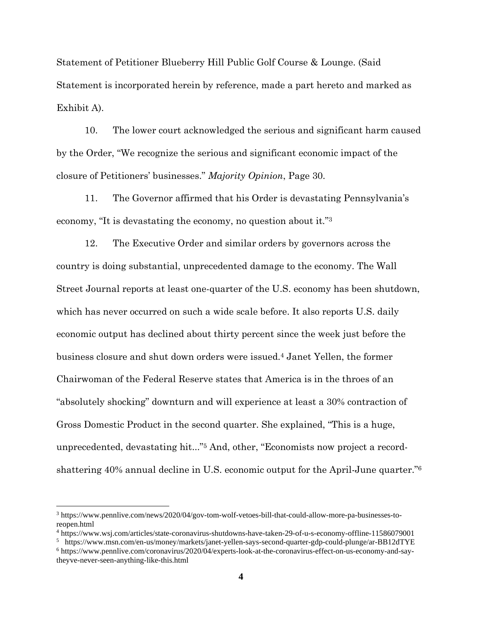Statement of Petitioner Blueberry Hill Public Golf Course & Lounge. (Said Statement is incorporated herein by reference, made a part hereto and marked as Exhibit A).

10. The lower court acknowledged the serious and significant harm caused by the Order, "We recognize the serious and significant economic impact of the closure of Petitioners' businesses." *Majority Opinion*, Page 30.

11. The Governor affirmed that his Order is devastating Pennsylvania's economy, "It is devastating the economy, no question about it."<sup>3</sup>

12. The Executive Order and similar orders by governors across the country is doing substantial, unprecedented damage to the economy. The Wall Street Journal reports at least one-quarter of the U.S. economy has been shutdown, which has never occurred on such a wide scale before. It also reports U.S. daily economic output has declined about thirty percent since the week just before the business closure and shut down orders were issued.4 Janet Yellen, the former Chairwoman of the Federal Reserve states that America is in the throes of an "absolutely shocking" downturn and will experience at least a 30% contraction of Gross Domestic Product in the second quarter. She explained, "This is a huge, unprecedented, devastating hit..."5 And, other, "Economists now project a recordshattering 40% annual decline in U.S. economic output for the April-June quarter."<sup>6</sup>

<sup>&</sup>lt;sup>3</sup> https://www.pennlive.com/news/2020/04/gov-tom-wolf-vetoes-bill-that-could-allow-more-pa-businesses-toreopen.html

<sup>4</sup> https://www.wsj.com/articles/state-coronavirus-shutdowns-have-taken-29-of-u-s-economy-offline-11586079001

<sup>5</sup> https://www.msn.com/en-us/money/markets/janet-yellen-says-second-quarter-gdp-could-plunge/ar-BB12dTYE 6 https://www.pennlive.com/coronavirus/2020/04/experts-look-at-the-coronavirus-effect-on-us-economy-and-say-

theyve-never-seen-anything-like-this.html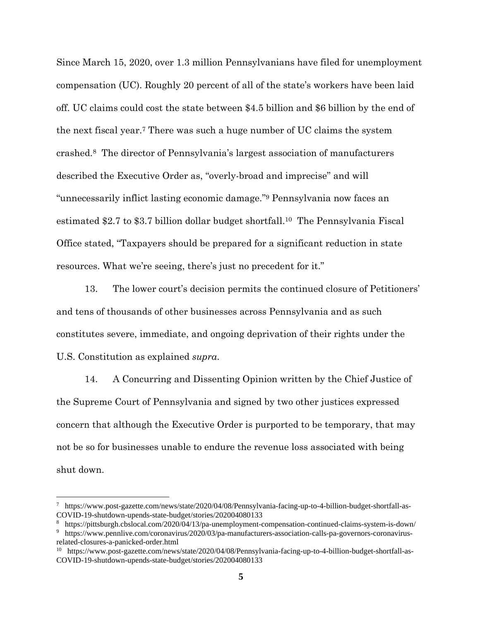Since March 15, 2020, over 1.3 million Pennsylvanians have filed for unemployment compensation (UC). Roughly 20 percent of all of the state's workers have been laid off. UC claims could cost the state between \$4.5 billion and \$6 billion by the end of the next fiscal year.7 There was such a huge number of UC claims the system crashed.8 The director of Pennsylvania's largest association of manufacturers described the Executive Order as, "overly-broad and imprecise" and will "unnecessarily inflict lasting economic damage."9 Pennsylvania now faces an estimated \$2.7 to \$3.7 billion dollar budget shortfall.10 The Pennsylvania Fiscal Office stated, "Taxpayers should be prepared for a significant reduction in state resources. What we're seeing, there's just no precedent for it."

13. The lower court's decision permits the continued closure of Petitioners' and tens of thousands of other businesses across Pennsylvania and as such constitutes severe, immediate, and ongoing deprivation of their rights under the U.S. Constitution as explained *supra*.

14. A Concurring and Dissenting Opinion written by the Chief Justice of the Supreme Court of Pennsylvania and signed by two other justices expressed concern that although the Executive Order is purported to be temporary, that may not be so for businesses unable to endure the revenue loss associated with being shut down.

<sup>7</sup> https://www.post-gazette.com/news/state/2020/04/08/Pennsylvania-facing-up-to-4-billion-budget-shortfall-as-COVID-19-shutdown-upends-state-budget/stories/202004080133

<sup>8</sup> https://pittsburgh.cbslocal.com/2020/04/13/pa-unemployment-compensation-continued-claims-system-is-down/

<sup>9</sup> https://www.pennlive.com/coronavirus/2020/03/pa-manufacturers-association-calls-pa-governors-coronavirusrelated-closures-a-panicked-order.html

<sup>10</sup> https://www.post-gazette.com/news/state/2020/04/08/Pennsylvania-facing-up-to-4-billion-budget-shortfall-as-COVID-19-shutdown-upends-state-budget/stories/202004080133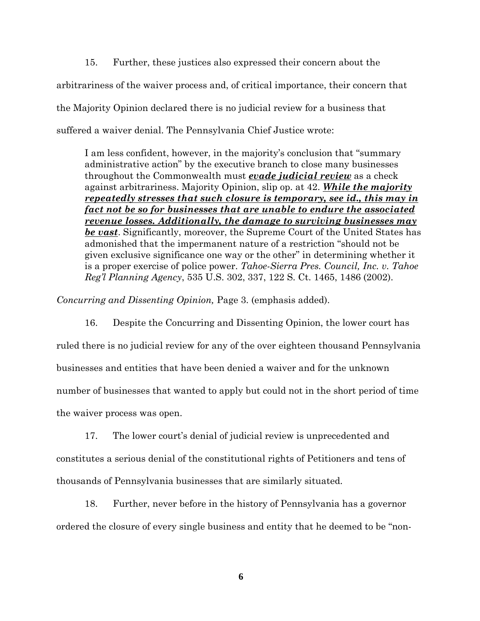15. Further, these justices also expressed their concern about the arbitrariness of the waiver process and, of critical importance, their concern that the Majority Opinion declared there is no judicial review for a business that suffered a waiver denial. The Pennsylvania Chief Justice wrote:

I am less confident, however, in the majority's conclusion that "summary administrative action" by the executive branch to close many businesses throughout the Commonwealth must *evade judicial review* as a check against arbitrariness. Majority Opinion, slip op. at 42. *While the majority repeatedly stresses that such closure is temporary, see id., this may in fact not be so for businesses that are unable to endure the associated revenue losses. Additionally, the damage to surviving businesses may be vast*. Significantly, moreover, the Supreme Court of the United States has admonished that the impermanent nature of a restriction "should not be given exclusive significance one way or the other" in determining whether it is a proper exercise of police power. *Tahoe-Sierra Pres. Council, Inc. v. Tahoe Reg'l Planning Agency*, 535 U.S. 302, 337, 122 S. Ct. 1465, 1486 (2002).

*Concurring and Dissenting Opinion,* Page 3. (emphasis added).

16. Despite the Concurring and Dissenting Opinion, the lower court has ruled there is no judicial review for any of the over eighteen thousand Pennsylvania businesses and entities that have been denied a waiver and for the unknown number of businesses that wanted to apply but could not in the short period of time the waiver process was open.

17. The lower court's denial of judicial review is unprecedented and constitutes a serious denial of the constitutional rights of Petitioners and tens of thousands of Pennsylvania businesses that are similarly situated.

18. Further, never before in the history of Pennsylvania has a governor ordered the closure of every single business and entity that he deemed to be "non-

**6**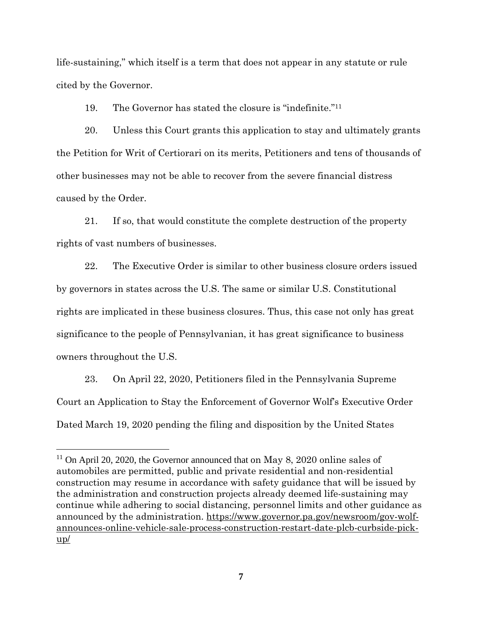life-sustaining," which itself is a term that does not appear in any statute or rule cited by the Governor.

19. The Governor has stated the closure is "indefinite."<sup>11</sup>

20. Unless this Court grants this application to stay and ultimately grants the Petition for Writ of Certiorari on its merits, Petitioners and tens of thousands of other businesses may not be able to recover from the severe financial distress caused by the Order.

21. If so, that would constitute the complete destruction of the property rights of vast numbers of businesses.

22. The Executive Order is similar to other business closure orders issued by governors in states across the U.S. The same or similar U.S. Constitutional rights are implicated in these business closures. Thus, this case not only has great significance to the people of Pennsylvanian, it has great significance to business owners throughout the U.S.

23. On April 22, 2020, Petitioners filed in the Pennsylvania Supreme Court an Application to Stay the Enforcement of Governor Wolf's Executive Order Dated March 19, 2020 pending the filing and disposition by the United States

 $11$  On April 20, 2020, the Governor announced that on May 8, 2020 online sales of automobiles are permitted, public and private residential and non-residential construction may resume in accordance with safety guidance that will be issued by the administration and construction projects already deemed life-sustaining may continue while adhering to social distancing, personnel limits and other guidance as announced by the administration. https://www.governor.pa.gov/newsroom/gov-wolfannounces-online-vehicle-sale-process-construction-restart-date-plcb-curbside-pick $up/$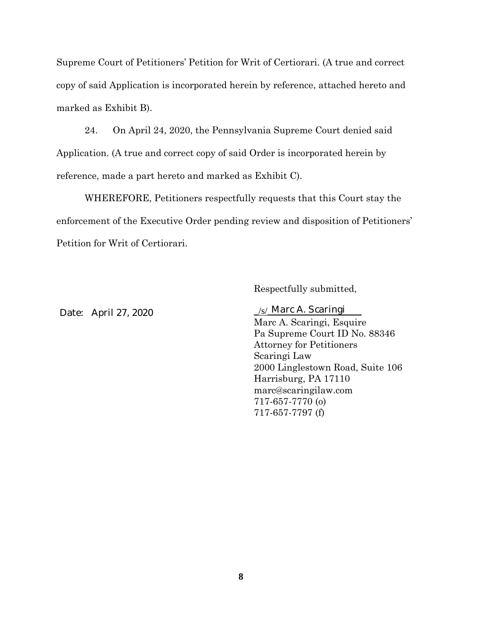Supreme Court of Petitioners' Petition for Writ of Certiorari. (A true and correct copy of said Application is incorporated herein by reference, attached hereto and marked as Exhibit B).

24. On April 24, 2020, the Pennsylvania Supreme Court denied said Application. (A true and correct copy of said Order is incorporated herein by reference, made a part hereto and marked as Exhibit C).

WHEREFORE, Petitioners respectfully requests that this Court stay the enforcement of the Executive Order pending review and disposition of Petitioners' Petition for Writ of Certiorari.

Respectfully submitted,

Date: April 27, 2020

#### $\sqrt{s}$  Marc A. Scaringi

Marc A. Scaringi, Esquire Pa Supreme Court ID No. 88346 Attorney for Petitioners Scaringi Law 2000 Linglestown Road, Suite 106 Harrisburg, PA 17110 marc@scaringilaw.com 717-657-7770 (o) 717-657-7797 (f)